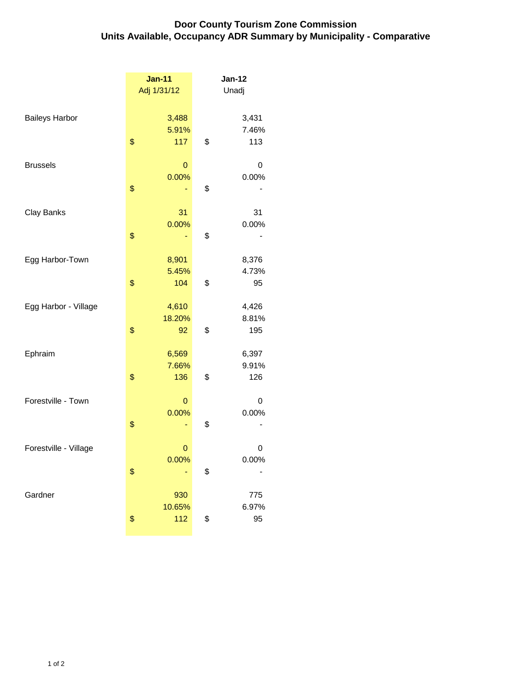## **Door County Tourism Zone Commission Units Available, Occupancy ADR Summary by Municipality - Comparative**

|                       | <b>Jan-11</b><br>Adj 1/31/12 | <b>Jan-12</b><br>Unadj      |
|-----------------------|------------------------------|-----------------------------|
| <b>Baileys Harbor</b> | \$<br>3,488<br>5.91%<br>117  | \$<br>3,431<br>7.46%<br>113 |
| <b>Brussels</b>       | 0<br>0.00%                   | 0<br>0.00%                  |
| Clay Banks            | \$<br>31                     | \$<br>31                    |
|                       | \$<br>0.00%                  | \$<br>0.00%                 |
| Egg Harbor-Town       | \$<br>8,901<br>5.45%<br>104  | \$<br>8,376<br>4.73%<br>95  |
| Egg Harbor - Village  | 4,610                        | 4,426                       |
|                       | \$<br>18.20%<br>92           | \$<br>8.81%<br>195          |
| Ephraim               | \$<br>6,569<br>7.66%<br>136  | \$<br>6,397<br>9.91%<br>126 |
| Forestville - Town    | 0<br>0.00%                   | 0<br>0.00%                  |
|                       | \$                           | \$                          |
| Forestville - Village | \$<br>0<br>0.00%             | \$<br>0<br>0.00%            |
| Gardner               | 930                          | 775                         |
|                       | \$<br>10.65%<br>112          | \$<br>6.97%<br>95           |